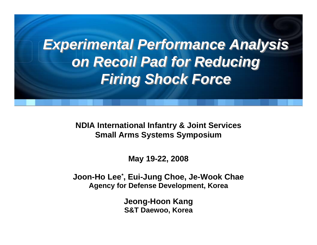# *Experimental Performance Analysis Experimental Performance Analysis on Recoil Pad for Reducing on Recoil Pad for Reducing Firing Shock Force Firing Shock Force*

**NDIA International Infantry & Joint Services Small Arms Systems Symposium**

**May 19-22, 2008**

**Joon-Ho Lee\*, Eui-Jung Choe, Je-Wook Chae Agency for Defense Development, Korea**

> **Jeong-Hoon Kang S&T Daewoo, Korea**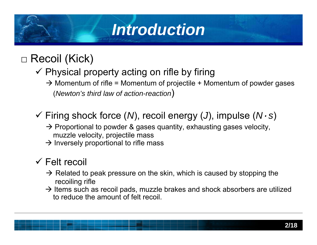# *Introduction*

□ Recoil (Kick)

- $\checkmark$  Physical property acting on rifle by firing
	- $\rightarrow$  Momentum of rifle = Momentum of projectile + Momentum of powder gases (*Newton's third law of action-reaction*)
- 9 Firing shock force (*N*), recoil energy (*J*), impulse (*N·<sup>s</sup>*)
	- $\rightarrow$  Proportional to powder & gases quantity, exhausting gases velocity, muzzle velocity, projectile mass
	- $\rightarrow$  Inversely proportional to rifle mass

#### $\checkmark$  Felt recoil

- $\rightarrow$  Related to peak pressure on the skin, which is caused by stopping the recoiling rifle
- **3 LDC** $\rightarrow$  Items such as recoil pads, muzzle brakes and shock absorbers are utilized to reduce the amount of felt recoil.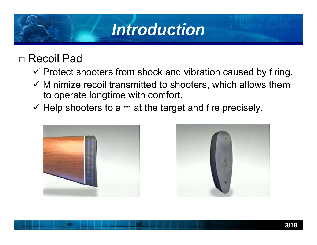## *Introduction*

#### □ Recoil Pad

- $\checkmark$  Protect shooters from shock and vibration caused by firing.
- $\checkmark$  Minimize recoil transmitted to shooters, which allows them to operate longtime with comfort.
- $\checkmark$  Help shooters to aim at the target and fire precisely.



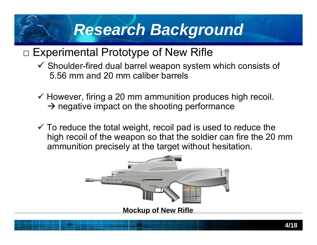### *Research Background*

#### $\Box$  Experimental Prototype of New Rifle

- $\checkmark$  Shoulder-fired dual barrel weapon system which consists of 5.56 mm and 20 mm caliber barrels
- $\checkmark$  However, firing a 20 mm ammunition produces high recoil.  $\rightarrow$  negative impact on the shooting performance
- $\checkmark$  To reduce the total weight, recoil pad is used to reduce the high recoil of the weapon so that the soldier can fire the 20 mm ammunition precisely at the target without hesitation.

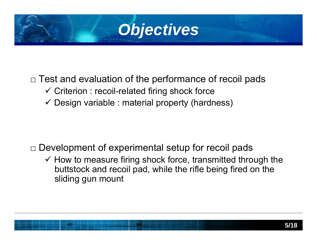

#### $\Box$  Test and evaluation of the performance of recoil pads

- $\checkmark$  Criterion : recoil-related firing shock force
- $\checkmark$  Design variable : material property (hardness)

#### $\Box$  Development of experimental setup for recoil pads

 $\checkmark$  How to measure firing shock force, transmitted through the buttstock and recoil pad, while the rifle being fired on the sliding gun mount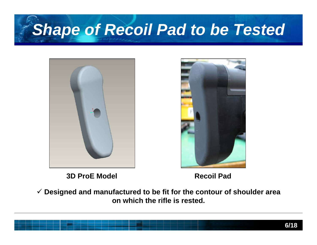# **Shape of Recoil Pad to be Tested**



**3D ProE Model Recoil Pad**

**3 LDC**9 **Designed and manufactured to be fit for the contour of shoulder area on which the rifle is rested.**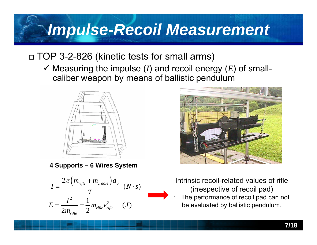# *Impulse-Recoil Measurement*

#### $\Box$  TOP 3-2-826 (kinetic tests for small arms)

 $\checkmark$  Measuring the impulse (*I*) and recoil energy (*E*) of smallcaliber weapon by means of ballistic pendulum



**4 Supports – 6 Wires System**





Intrinsic recoil-related values of rifle (irrespective of recoil pad)

**3 LDC** : The performance of recoil pad can not be evaluated by ballistic pendulum.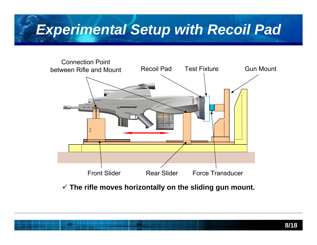### *Experimental Setup with Recoil Pad*



9 **The rifle moves horizontally on the sliding gun mount.**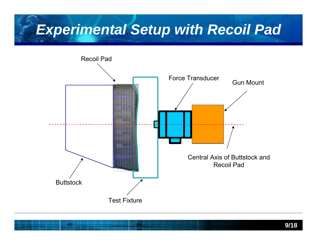#### *Experimental Setup with Recoil Pad*

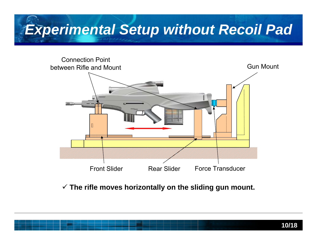### *Experimental Setup without Recoil Pad*



#### 9 **The rifle moves horizontally on the sliding gun mount.**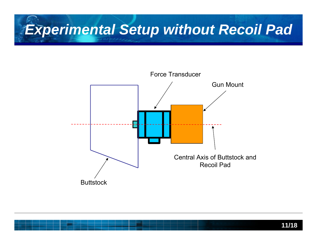#### *Experimental Setup without Recoil Pad*

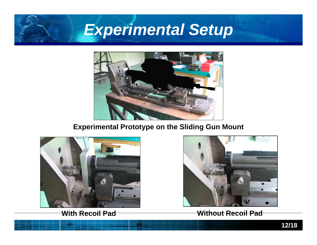### *Experimental Setup*



#### **Experimental Prototype on the Sliding Gun Mount**



**With Recoil Pad**



**Without Recoil Pad**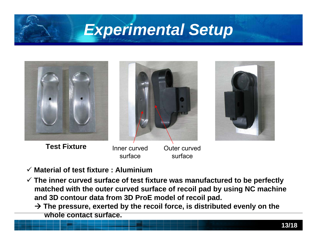### *Experimental Setup*

**Test Fixture** Inner curved Outer curved



- 9 **Material of test fixture : Aluminium**
- **<u>Matched with the outer curved surface of recoil pad by using NC machine</u>** 9 **The inner curved surface of test fixture was manufactured to be perfectly and 3D contour data from 3D ProE model of recoil pad.**

surface

surface

 $\rightarrow$  The pressure, exerted by the recoil force, is distributed evenly on the **whole contact surface.**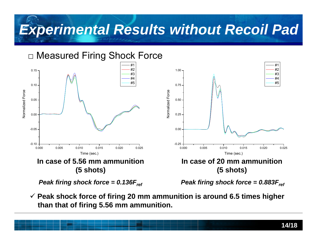### *Experimental Results without Recoil Pad*



**3 LDC** 9 **Peak shock force of firing 20 mm ammunition is around 6.5 times higher than that of firing 5.56 mm ammunition.**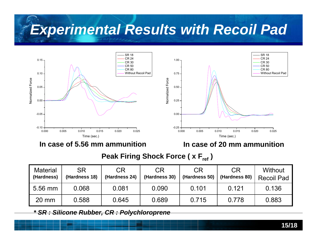### *Experimental Results with Recoil Pad*



**In case of 5.56 mm ammunition**

**In case of 20 mm ammunition**

#### **Peak Firing Shock Force ( x Fref)**

| <b>Material</b><br>(Hardness) | <b>SR</b><br>(Hardness 18) | <b>CR</b><br>(Hardness 24) | <b>CR</b><br>(Hardness 30) | <b>CR</b><br>(Hardness 50) | <b>CR</b><br>(Hardness 80) | Without<br><b>Recoil Pad</b> |
|-------------------------------|----------------------------|----------------------------|----------------------------|----------------------------|----------------------------|------------------------------|
| $5.56$ mm                     | 0.068                      | 0.081                      | 0.090                      | 0.101                      | 0.121                      | 0.136                        |
| $20 \text{ mm}$               | 0.588                      | 0.645                      | 0.689                      | 0.715                      | 0.778                      | 0.883                        |

*\* SR : Silicone Rubber, CR : Polychloroprene*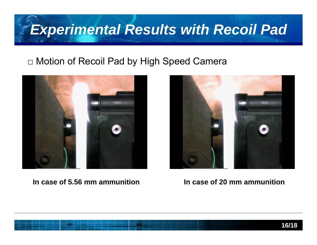### *Experimental Results with Recoil Pad*

#### □ Motion of Recoil Pad by High Speed Camera



#### **In case of 5.56 mm ammunition**



#### **In case of 20 mm ammunition**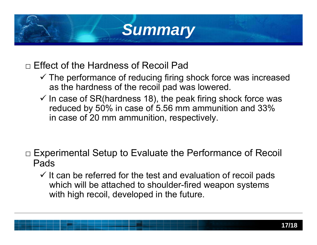# *Summary*

□ Effect of the Hardness of Recoil Pad

- $\checkmark$  The performance of reducing firing shock force was increased as the hardness of the recoil pad was lowered.
- $\checkmark$  In case of SR(hardness 18), the peak firing shock force was reduced by 50% in case of 5.56 mm ammunition and 33% in case of 20 mm ammunition, respectively.

- $\Box$  Experimental Setup to Evaluate the Performance of Recoil Pads
	- $\checkmark$  It can be referred for the test and evaluation of recoil pads which will be attached to shoulder-fired weapon systems with high recoil, developed in the future.